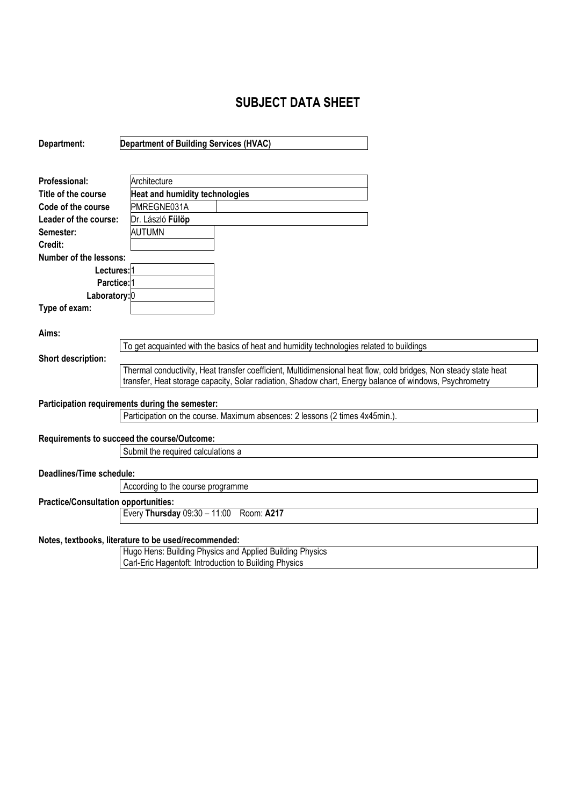## **SUBJECT DATA SHEET**

| Department:                                                                  | <b>Department of Building Services (HVAC)</b>                                                                                                                                                                               |  |  |
|------------------------------------------------------------------------------|-----------------------------------------------------------------------------------------------------------------------------------------------------------------------------------------------------------------------------|--|--|
|                                                                              |                                                                                                                                                                                                                             |  |  |
| Professional:                                                                | Architecture                                                                                                                                                                                                                |  |  |
| Title of the course                                                          | <b>Heat and humidity technologies</b>                                                                                                                                                                                       |  |  |
| Code of the course                                                           | PMREGNE031A                                                                                                                                                                                                                 |  |  |
| Leader of the course:                                                        | Dr. László Fülöp                                                                                                                                                                                                            |  |  |
| Semester:                                                                    | <b>AUTUMN</b>                                                                                                                                                                                                               |  |  |
| Credit:                                                                      |                                                                                                                                                                                                                             |  |  |
| <b>Number of the lessons:</b>                                                |                                                                                                                                                                                                                             |  |  |
| Lectures: 1                                                                  |                                                                                                                                                                                                                             |  |  |
| Parctice: 1                                                                  |                                                                                                                                                                                                                             |  |  |
| Laboratory: 0                                                                |                                                                                                                                                                                                                             |  |  |
| Type of exam:                                                                |                                                                                                                                                                                                                             |  |  |
| Aims:                                                                        |                                                                                                                                                                                                                             |  |  |
|                                                                              | To get acquainted with the basics of heat and humidity technologies related to buildings                                                                                                                                    |  |  |
| Short description:                                                           | Thermal conductivity, Heat transfer coefficient, Multidimensional heat flow, cold bridges, Non steady state heat<br>transfer, Heat storage capacity, Solar radiation, Shadow chart, Energy balance of windows, Psychrometry |  |  |
|                                                                              | Participation requirements during the semester:                                                                                                                                                                             |  |  |
| Participation on the course. Maximum absences: 2 lessons (2 times 4x45min.). |                                                                                                                                                                                                                             |  |  |
|                                                                              | Requirements to succeed the course/Outcome:                                                                                                                                                                                 |  |  |
| Submit the required calculations a                                           |                                                                                                                                                                                                                             |  |  |
| Deadlines/Time schedule:                                                     |                                                                                                                                                                                                                             |  |  |
|                                                                              | According to the course programme                                                                                                                                                                                           |  |  |
| <b>Practice/Consultation opportunities:</b>                                  |                                                                                                                                                                                                                             |  |  |
|                                                                              | Every Thursday 09:30 - 11:00 Room: A217                                                                                                                                                                                     |  |  |
|                                                                              | Notes, textbooks, literature to be used/recommended:<br><b>The contribution Depthical Discrimental Applicat Depthical Discription</b>                                                                                       |  |  |

Hugo Hens: Building Physics and Applied Building Physics Carl-Eric Hagentoft: Introduction to Building Physics